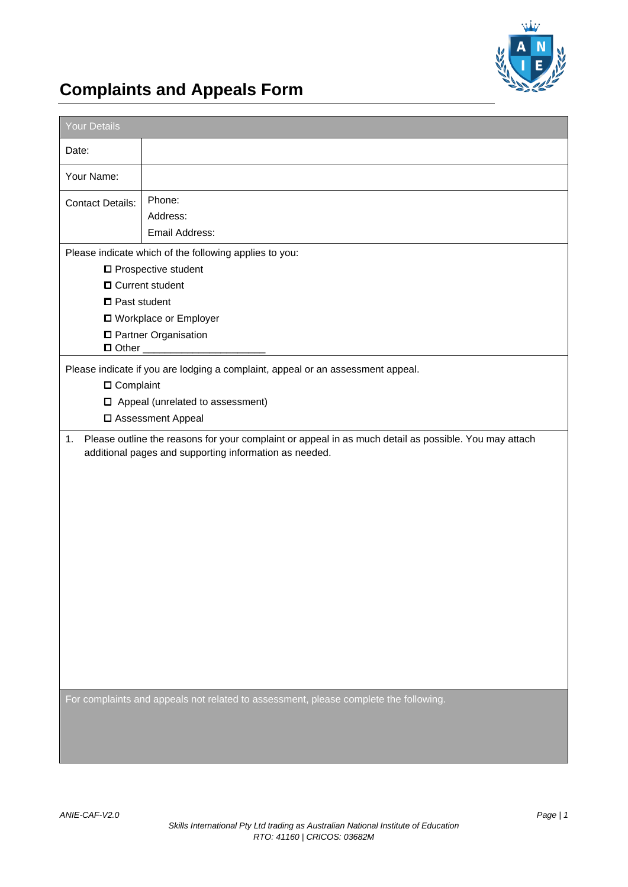

## **Complaints and Appeals Form**

| Your Details                                                                                                                                                     |                                                                                                                                                                    |  |  |
|------------------------------------------------------------------------------------------------------------------------------------------------------------------|--------------------------------------------------------------------------------------------------------------------------------------------------------------------|--|--|
| Date:                                                                                                                                                            |                                                                                                                                                                    |  |  |
| Your Name:                                                                                                                                                       |                                                                                                                                                                    |  |  |
| <b>Contact Details:</b>                                                                                                                                          | Phone:<br>Address:                                                                                                                                                 |  |  |
|                                                                                                                                                                  | Email Address:                                                                                                                                                     |  |  |
|                                                                                                                                                                  | Please indicate which of the following applies to you:                                                                                                             |  |  |
|                                                                                                                                                                  | □ Prospective student                                                                                                                                              |  |  |
| <b>O</b> Current student                                                                                                                                         |                                                                                                                                                                    |  |  |
| $\square$ Past student                                                                                                                                           |                                                                                                                                                                    |  |  |
|                                                                                                                                                                  | □ Workplace or Employer                                                                                                                                            |  |  |
|                                                                                                                                                                  | □ Partner Organisation                                                                                                                                             |  |  |
| Please indicate if you are lodging a complaint, appeal or an assessment appeal.<br>□ Complaint<br>$\Box$ Appeal (unrelated to assessment)<br>□ Assessment Appeal |                                                                                                                                                                    |  |  |
|                                                                                                                                                                  | 1. Please outline the reasons for your complaint or appeal in as much detail as possible. You may attach<br>additional pages and supporting information as needed. |  |  |
|                                                                                                                                                                  | For complaints and appeals not related to assessment, please complete the following.                                                                               |  |  |